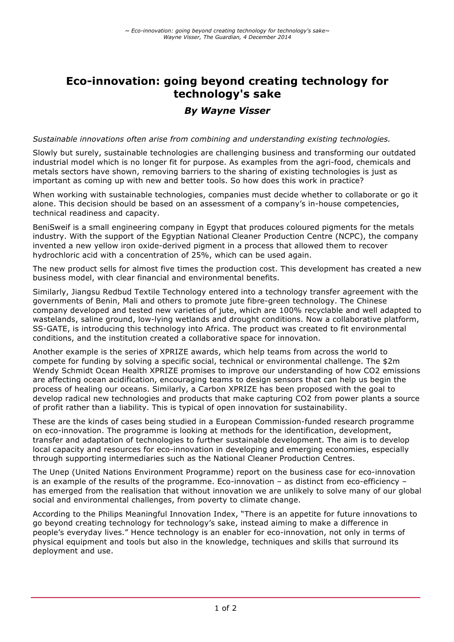# **Eco-innovation: going beyond creating technology for technology's sake**

## *By Wayne Visser*

#### *Sustainable innovations often arise from combining and understanding existing technologies.*

Slowly but surely, sustainable technologies are challenging business and transforming our outdated industrial model which is no longer fit for purpose. As examples from the agri-food, chemicals and metals sectors have shown, removing barriers to the sharing of existing technologies is just as important as coming up with new and better tools. So how does this work in practice?

When working with sustainable technologies, companies must decide whether to collaborate or go it alone. This decision should be based on an assessment of a company's in-house competencies, technical readiness and capacity.

BeniSweif is a small engineering company in Egypt that produces coloured pigments for the metals industry. With the support of the Egyptian National Cleaner Production Centre (NCPC), the company invented a new yellow iron oxide-derived pigment in a process that allowed them to recover hydrochloric acid with a concentration of 25%, which can be used again.

The new product sells for almost five times the production cost. This development has created a new business model, with clear financial and environmental benefits.

Similarly, Jiangsu Redbud Textile Technology entered into a technology transfer agreement with the governments of Benin, Mali and others to promote jute fibre-green technology. The Chinese company developed and tested new varieties of jute, which are 100% recyclable and well adapted to wastelands, saline ground, low-lying wetlands and drought conditions. Now a collaborative platform, SS-GATE, is introducing this technology into Africa. The product was created to fit environmental conditions, and the institution created a collaborative space for innovation.

Another example is the series of XPRIZE awards, which help teams from across the world to compete for funding by solving a specific social, technical or environmental challenge. The \$2m Wendy Schmidt Ocean Health XPRIZE promises to improve our understanding of how CO2 emissions are affecting ocean acidification, encouraging teams to design sensors that can help us begin the process of healing our oceans. Similarly, a Carbon XPRIZE has been proposed with the goal to develop radical new technologies and products that make capturing CO2 from power plants a source of profit rather than a liability. This is typical of open innovation for sustainability.

These are the kinds of cases being studied in a European Commission-funded research programme on eco-innovation. The programme is looking at methods for the identification, development, transfer and adaptation of technologies to further sustainable development. The aim is to develop local capacity and resources for eco-innovation in developing and emerging economies, especially through supporting intermediaries such as the National Cleaner Production Centres.

The Unep (United Nations Environment Programme) report on the business case for eco-innovation is an example of the results of the programme. Eco-innovation – as distinct from eco-efficiency – has emerged from the realisation that without innovation we are unlikely to solve many of our global social and environmental challenges, from poverty to climate change.

According to the Philips Meaningful Innovation Index, "There is an appetite for future innovations to go beyond creating technology for technology's sake, instead aiming to make a difference in people's everyday lives." Hence technology is an enabler for eco-innovation, not only in terms of physical equipment and tools but also in the knowledge, techniques and skills that surround its deployment and use.